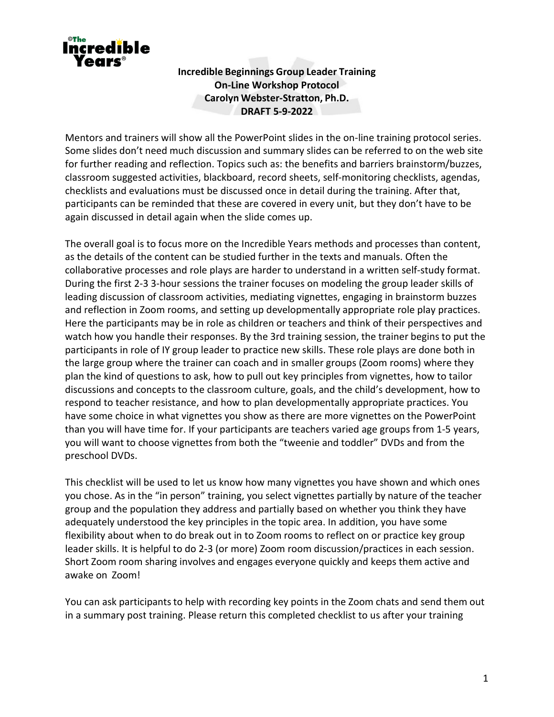

**Incredible Beginnings Group Leader Training On-Line Workshop Protocol Carolyn Webster-Stratton, Ph.D. DRAFT 5-9-2022**

Mentors and trainers will show all the PowerPoint slides in the on-line training protocol series. Some slides don't need much discussion and summary slides can be referred to on the web site for further reading and reflection. Topics such as: the benefits and barriers brainstorm/buzzes, classroom suggested activities, blackboard, record sheets, self-monitoring checklists, agendas, checklists and evaluations must be discussed once in detail during the training. After that, participants can be reminded that these are covered in every unit, but they don't have to be again discussed in detail again when the slide comes up.

The overall goal is to focus more on the Incredible Years methods and processes than content, as the details of the content can be studied further in the texts and manuals. Often the collaborative processes and role plays are harder to understand in a written self-study format. During the first 2-3 3-hour sessions the trainer focuses on modeling the group leader skills of leading discussion of classroom activities, mediating vignettes, engaging in brainstorm buzzes and reflection in Zoom rooms, and setting up developmentally appropriate role play practices. Here the participants may be in role as children or teachers and think of their perspectives and watch how you handle their responses. By the 3rd training session, the trainer begins to put the participants in role of IY group leader to practice new skills. These role plays are done both in the large group where the trainer can coach and in smaller groups (Zoom rooms) where they plan the kind of questions to ask, how to pull out key principles from vignettes, how to tailor discussions and concepts to the classroom culture, goals, and the child's development, how to respond to teacher resistance, and how to plan developmentally appropriate practices. You have some choice in what vignettes you show as there are more vignettes on the PowerPoint than you will have time for. If your participants are teachers varied age groups from 1-5 years, you will want to choose vignettes from both the "tweenie and toddler" DVDs and from the preschool DVDs.

This checklist will be used to let us know how many vignettes you have shown and which ones you chose. As in the "in person" training, you select vignettes partially by nature of the teacher group and the population they address and partially based on whether you think they have adequately understood the key principles in the topic area. In addition, you have some flexibility about when to do break out in to Zoom rooms to reflect on or practice key group leader skills. It is helpful to do 2-3 (or more) Zoom room discussion/practices in each session. Short Zoom room sharing involves and engages everyone quickly and keeps them active and awake on Zoom!

You can ask participants to help with recording key points in the Zoom chats and send them out in a summary post training. Please return this completed checklist to us after your training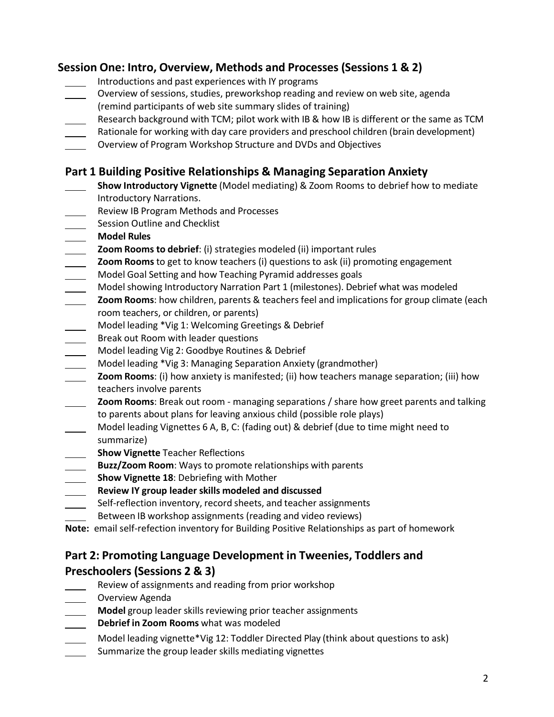# **Session One: Intro, Overview, Methods and Processes (Sessions 1 & 2)**

- Introductions and past experiences with IY programs
- Overview of sessions, studies, preworkshop reading and review on web site, agenda (remind participants of web site summary slides of training)
- Research background with TCM; pilot work with IB & how IB is different or the same as TCM
- Rationale for working with day care providers and preschool children (brain development)
- Overview of Program Workshop Structure and DVDs and Objectives

# **Part 1 Building Positive Relationships & Managing Separation Anxiety**

- **Show Introductory Vignette** (Model mediating) & Zoom Rooms to debrief how to mediate Introductory Narrations.
- Review IB Program Methods and Processes
- Session Outline and Checklist
- **Model Rules**
- **Zoom Rooms to debrief**: (i) strategies modeled (ii) important rules
- **Zoom Rooms** to get to know teachers (i) questions to ask (ii) promoting engagement Model Goal Setting and how Teaching Pyramid addresses goals
- Model showing Introductory Narration Part 1 (milestones). Debrief what was modeled
- **Zoom Rooms**: how children, parents & teachers feel and implications for group climate (each room teachers, or children, or parents)
- Model leading \*Vig 1: Welcoming Greetings & Debrief
- Break out Room with leader questions
- Model leading Vig 2: Goodbye Routines & Debrief
- Model leading \*Vig 3: Managing Separation Anxiety (grandmother)
- **Zoom Rooms**: (i) how anxiety is manifested; (ii) how teachers manage separation; (iii) how teachers involve parents
- **Zoom Rooms**: Break out room managing separations / share how greet parents and talking to parents about plans for leaving anxious child (possible role plays)
- Model leading Vignettes 6 A, B, C: (fading out) & debrief (due to time might need to summarize)
- **Show Vignette** Teacher Reflections
- **Buzz/Zoom Room**: Ways to promote relationships with parents
- **Show Vignette 18**: Debriefing with Mother
- **Review IY group leader skills modeled and discussed**
- Self-reflection inventory, record sheets, and teacher assignments
- Between IB workshop assignments (reading and video reviews)
- **Note:** email self-refection inventory for Building Positive Relationships as part of homework

# **Part 2: Promoting Language Development in Tweenies, Toddlers and Preschoolers (Sessions 2 & 3)**

- Review of assignments and reading from prior workshop
- Overview Agenda
- **Model** group leader skills reviewing prior teacher assignments
- **Debrief in Zoom Rooms** what was modeled
- Model leading vignette\*Vig 12: Toddler Directed Play (think about questions to ask)
- Summarize the group leader skills mediating vignettes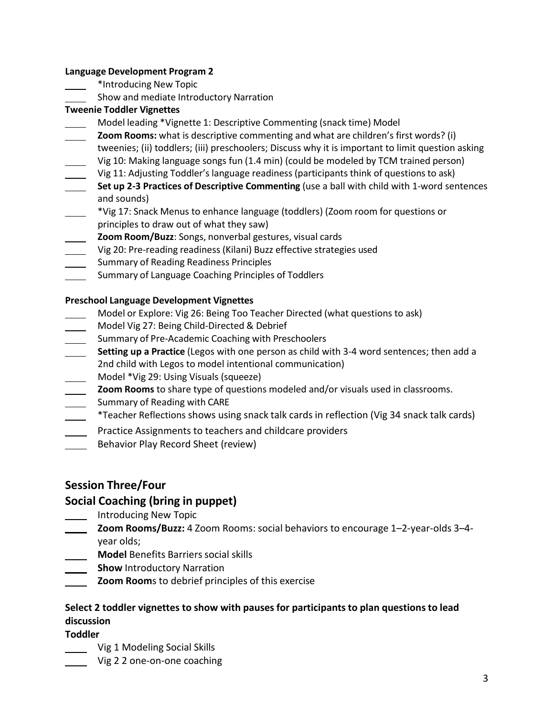#### **Language Development Program 2**

- \*Introducing New Topic
- Show and mediate Introductory Narration

### **Tweenie Toddler Vignettes**

- Model leading \*Vignette 1: Descriptive Commenting (snack time) Model
- **Zoom Rooms:** what is descriptive commenting and what are children's first words? (i) tweenies; (ii) toddlers; (iii) preschoolers; Discuss why it is important to limit question asking Vig 10: Making language songs fun (1.4 min) (could be modeled by TCM trained person)
- Vig 11: Adjusting Toddler's language readiness (participants think of questionsto ask)
- **Set up 2-3 Practices of Descriptive Commenting** (use a ball with child with 1-word sentences and sounds)
- \*Vig 17: Snack Menus to enhance language (toddlers) (Zoom room for questions or principles to draw out of what they saw)
- **Zoom Room/Buzz**: Songs, nonverbal gestures, visual cards
- Vig 20: Pre-reading readiness (Kilani) Buzz effective strategies used
- Summary of Reading Readiness Principles
- Summary of Language Coaching Principles of Toddlers

### **Preschool Language Development Vignettes**

- Model or Explore: Vig 26: Being Too Teacher Directed (what questions to ask)
- Model Vig 27: Being Child-Directed & Debrief
- **Summary of Pre-Academic Coaching with Preschoolers**
- **Setting up a Practice** (Legos with one person as child with 3-4 word sentences; then add a 2nd child with Legos to model intentional communication)
- Model \*Vig 29: Using Visuals (squeeze)
- **Zoom Rooms** to share type of questions modeled and/or visuals used in classrooms.
- **Summary of Reading with CARE**
- \*Teacher Reflections shows using snack talk cards in reflection (Vig 34 snack talk cards)
- Practice Assignments to teachers and childcare providers
- Behavior Play Record Sheet (review)

## **Session Three/Four**

## **Social Coaching (bring in puppet)**

- Introducing New Topic
- **Zoom Rooms/Buzz:** 4 Zoom Rooms: social behaviors to encourage 1–2-year-olds 3–4 year olds;
- **Model** Benefits Barriers social skills
- **Show** Introductory Narration
- **Zoom Room**s to debrief principles of this exercise

## **Select 2 toddler vignettes to show with pauses for participants to plan questions to lead discussion**

**Toddler**

- Vig 1 Modeling Social Skills
	- Vig 2 2 one-on-one coaching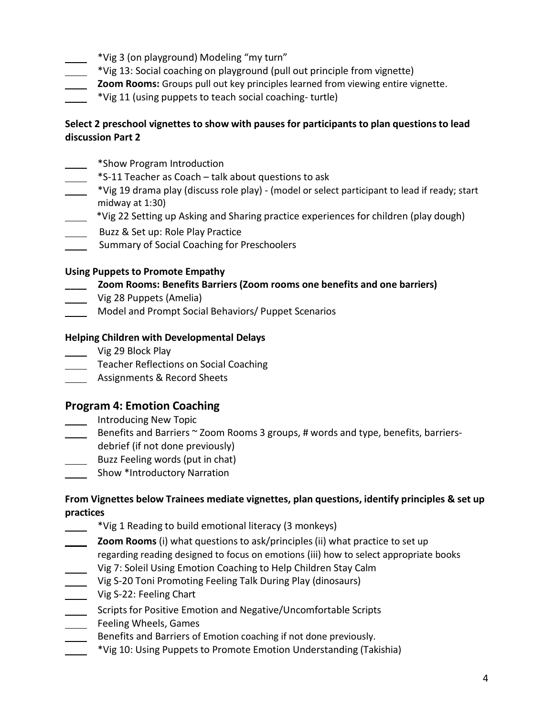- \*Vig 3 (on playground) Modeling "my turn"
- \*Vig 13: Social coaching on playground (pull out principle from vignette)
- **Zoom Rooms:** Groups pull out key principles learned from viewing entire vignette.
- \*Vig 11 (using puppets to teach social coaching- turtle)

## **Select 2 preschool vignettes to show with pauses for participants to plan questions to lead discussion Part 2**

- \*Show Program Introduction
- \*S-11 Teacher as Coach talk about questions to ask
- \*Vig 19 drama play (discuss role play) (model or select participant to lead if ready; start midway at 1:30)
- \*Vig 22 Setting up Asking and Sharing practice experiences for children (play dough)
- Buzz & Set up: Role Play Practice
- Summary of Social Coaching for Preschoolers

#### **Using Puppets to Promote Empathy**

### **\_\_\_\_ Zoom Rooms: Benefits Barriers (Zoom rooms one benefits and one barriers)**

- Vig 28 Puppets (Amelia)
- Model and Prompt Social Behaviors/ Puppet Scenarios

#### **Helping Children with Developmental Delays**

- Vig 29 Block Play
- Teacher Reflections on Social Coaching
- **Assignments & Record Sheets**

## **Program 4: Emotion Coaching**

- Introducing New Topic
- $\frac{1}{1}$  Benefits and Barriers ~ Zoom Rooms 3 groups, # words and type, benefits, barriersdebrief (if not done previously)
- Buzz Feeling words (put in chat)
- **Show \*Introductory Narration**

## **From Vignettes below Trainees mediate vignettes, plan questions, identify principles & set up practices**

- \*Vig 1 Reading to build emotional literacy (3 monkeys)
- **Zoom Rooms** (i) what questions to ask/principles(ii) what practice to set up regarding reading designed to focus on emotions (iii) how to select appropriate books
- Vig 7: Soleil Using Emotion Coaching to Help Children Stay Calm
- Vig S-20 Toni Promoting Feeling Talk During Play (dinosaurs)
- Vig S-22: Feeling Chart
- Scripts for Positive Emotion and Negative/Uncomfortable Scripts **EXECUTE:** Feeling Wheels, Games
- Benefits and Barriers of Emotion coaching if not done previously.
- \*Vig 10: Using Puppets to Promote Emotion Understanding (Takishia)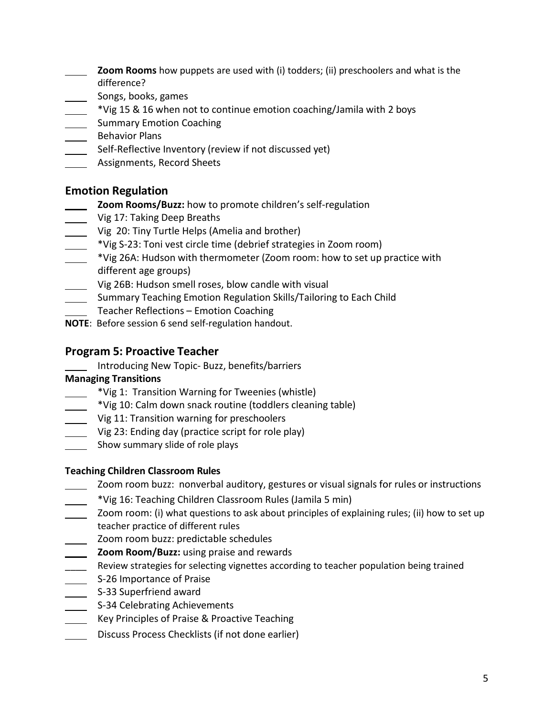- **Zoom Rooms** how puppets are used with (i) todders; (ii) preschoolers and what is the difference?
- Songs, books, games
- \*Vig 15 & 16 when not to continue emotion coaching/Jamila with 2 boys
- Summary Emotion Coaching
- Behavior Plans
- Self-Reflective Inventory (review if not discussed yet)
- Assignments, Record Sheets

# **Emotion Regulation**

- **Zoom Rooms/Buzz:** how to promote children's self-regulation
- Vig 17: Taking Deep Breaths
- Vig 20: Tiny Turtle Helps (Amelia and brother)
- \*Vig S-23: Toni vest circle time (debrief strategies in Zoom room)
- \*Vig 26A: Hudson with thermometer (Zoom room: how to set up practice with different age groups)
- Vig 26B: Hudson smell roses, blow candle with visual
- **Summary Teaching Emotion Regulation Skills/Tailoring to Each Child**
- Teacher Reflections Emotion Coaching
- **NOTE**: Before session 6 send self-regulation handout.

# **Program 5: Proactive Teacher**

Introducing New Topic- Buzz, benefits/barriers

## **Managing Transitions**

- \*Vig 1: Transition Warning for Tweenies (whistle)
- \*Vig 10: Calm down snack routine (toddlers cleaning table)
- Vig 11: Transition warning for preschoolers
- Vig 23: Ending day (practice script for role play)
- Show summary slide of role plays

## **Teaching Children Classroom Rules**

- Zoom room buzz: nonverbal auditory, gestures or visual signals for rules or instructions
- \*Vig 16: Teaching Children Classroom Rules (Jamila 5 min)
- Zoom room: (i) what questions to ask about principles of explaining rules; (ii) how to set up teacher practice of different rules
- \_ Zoom room buzz: predictable schedules
- **Zoom Room/Buzz:** using praise and rewards
- \_\_\_\_Review strategies for selecting vignettes according to teacher population being trained
- S-26 Importance of Praise
- S-33 Superfriend award
- S-34 Celebrating Achievements
- Key Principles of Praise & Proactive Teaching
- Discuss Process Checklists (if not done earlier)